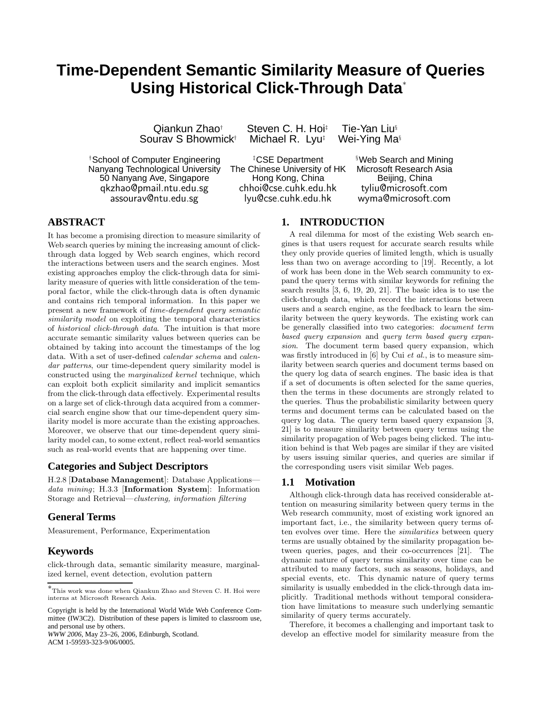# **Time-Dependent Semantic Similarity Measure of Queries Using Historical Click-Through Data**<sup>∗</sup>

Sourav S Bhowmick<sup>+</sup>

Qiankun Zhao† Steven C. H. Hoi‡ Tie-Yan Liu§<br>urav S Bhowmick† Michael R. Lyu‡ Wei-Ying Ma§

<sup>†</sup>School of Computer Engineering <sup>‡</sup>CSE Department<br>Nanyang Technological University The Chinese University of HK Nanyang Technological University The Chinese University of Hong Kong, China<br>50 Nanyang Ave, Singapore Hong Kong, China 50 Nanyang Ave, Singapore Hong Kong, China Beijing, China qkzhao@pmail.ntu.edu.sg chhoi@cse.cuhk.edu.hk tyliu@microsoft.com

lyu@cse.cuhk.edu.hk wyma@microsoft.com

<sup>§</sup>Web Search and Mining<br>Microsoft Research Asia

# **ABSTRACT**

It has become a promising direction to measure similarity of Web search queries by mining the increasing amount of clickthrough data logged by Web search engines, which record the interactions between users and the search engines. Most existing approaches employ the click-through data for similarity measure of queries with little consideration of the temporal factor, while the click-through data is often dynamic and contains rich temporal information. In this paper we present a new framework of *time-dependent query semantic similarity model* on exploiting the temporal characteristics of *historical click-through data*. The intuition is that more accurate semantic similarity values between queries can be obtained by taking into account the timestamps of the log data. With a set of user-defined *calendar schema* and *calendar patterns*, our time-dependent query similarity model is constructed using the *marginalized kernel* technique, which can exploit both explicit similarity and implicit semantics from the click-through data effectively. Experimental results on a large set of click-through data acquired from a commercial search engine show that our time-dependent query similarity model is more accurate than the existing approaches. Moreover, we observe that our time-dependent query similarity model can, to some extent, reflect real-world semantics such as real-world events that are happening over time.

## **Categories and Subject Descriptors**

H.2.8 [**Database Management**]: Database Applications *data mining*; H.3.3 [**Information System**]: Information Storage and Retrieval—*clustering, information filtering*

## **General Terms**

Measurement, Performance, Experimentation

## **Keywords**

click-through data, semantic similarity measure, marginalized kernel, event detection, evolution pattern

Copyright is held by the International World Wide Web Conference Committee (IW3C2). Distribution of these papers is limited to classroom use, and personal use by others.

*WWW 2006*, May 23–26, 2006, Edinburgh, Scotland. ACM 1-59593-323-9/06/0005.

#### **1. INTRODUCTION**

A real dilemma for most of the existing Web search engines is that users request for accurate search results while they only provide queries of limited length, which is usually less than two on average according to [19]. Recently, a lot of work has been done in the Web search community to expand the query terms with similar keywords for refining the search results [3, 6, 19, 20, 21]. The basic idea is to use the click-through data, which record the interactions between users and a search engine, as the feedback to learn the similarity between the query keywords. The existing work can be generally classified into two categories: *document term based query expansion* and *query term based query expansion*. The document term based query expansion, which was firstly introduced in [6] by Cui *et al.*, is to measure similarity between search queries and document terms based on the query log data of search engines. The basic idea is that if a set of documents is often selected for the same queries, then the terms in these documents are strongly related to the queries. Thus the probabilistic similarity between query terms and document terms can be calculated based on the query log data. The query term based query expansion [3, 21] is to measure similarity between query terms using the similarity propagation of Web pages being clicked. The intuition behind is that Web pages are similar if they are visited by users issuing similar queries, and queries are similar if the corresponding users visit similar Web pages.

## **1.1 Motivation**

Although click-through data has received considerable attention on measuring similarity between query terms in the Web research community, most of existing work ignored an important fact, i.e., the similarity between query terms often evolves over time. Here the *similarities* between query terms are usually obtained by the similarity propagation between queries, pages, and their co-occurrences [21]. The dynamic nature of query terms similarity over time can be attributed to many factors, such as seasons, holidays, and special events, etc. This dynamic nature of query terms similarity is usually embedded in the click-through data implicitly. Traditional methods without temporal consideration have limitations to measure such underlying semantic similarity of query terms accurately.

Therefore, it becomes a challenging and important task to develop an effective model for similarity measure from the

 $^\ast\!$ This work was done when Qiankun Zhao and Steven C. H. Hoi were interns at Microsoft Research Asia.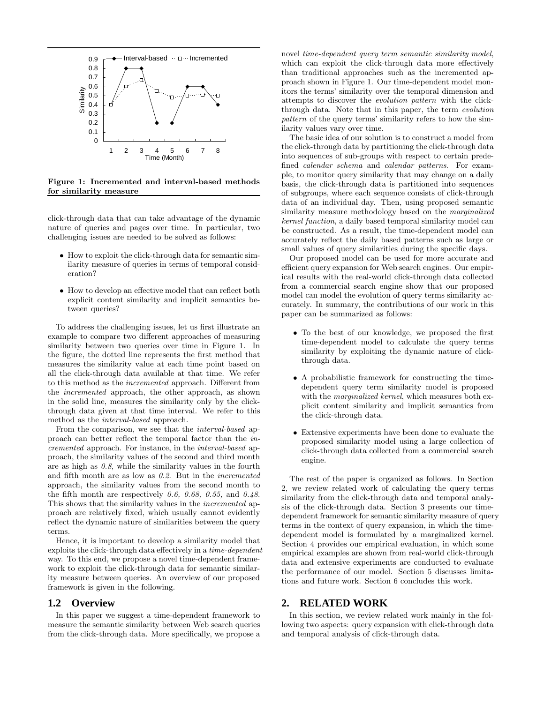

**Figure 1: Incremented and interval-based methods for similarity measure**

click-through data that can take advantage of the dynamic nature of queries and pages over time. In particular, two challenging issues are needed to be solved as follows:

- How to exploit the click-through data for semantic similarity measure of queries in terms of temporal consideration?
- How to develop an effective model that can reflect both explicit content similarity and implicit semantics between queries?

To address the challenging issues, let us first illustrate an example to compare two different approaches of measuring similarity between two queries over time in Figure 1. In the figure, the dotted line represents the first method that measures the similarity value at each time point based on all the click-through data available at that time. We refer to this method as the *incremented* approach. Different from the *incremented* approach, the other approach, as shown in the solid line, measures the similarity only by the clickthrough data given at that time interval. We refer to this method as the *interval-based* approach.

From the comparison, we see that the *interval-based* approach can better reflect the temporal factor than the *incremented* approach. For instance, in the *interval-based* approach, the similarity values of the second and third month are as high as *0.8*, while the similarity values in the fourth and fifth month are as low as *0.2*. But in the *incremented* approach, the similarity values from the second month to the fifth month are respectively *0.6, 0.68, 0.55,* and *0.48*. This shows that the similarity values in the *incremented* approach are relatively fixed, which usually cannot evidently reflect the dynamic nature of similarities between the query terms.

Hence, it is important to develop a similarity model that exploits the click-through data effectively in a *time-dependent* way. To this end, we propose a novel time-dependent framework to exploit the click-through data for semantic similarity measure between queries. An overview of our proposed framework is given in the following.

#### **1.2 Overview**

In this paper we suggest a time-dependent framework to measure the semantic similarity between Web search queries from the click-through data. More specifically, we propose a

novel *time-dependent query term semantic similarity model*, which can exploit the click-through data more effectively than traditional approaches such as the incremented approach shown in Figure 1. Our time-dependent model monitors the terms' similarity over the temporal dimension and attempts to discover the *evolution pattern* with the clickthrough data. Note that in this paper, the term *evolution pattern* of the query terms' similarity refers to how the similarity values vary over time.

The basic idea of our solution is to construct a model from the click-through data by partitioning the click-through data into sequences of sub-groups with respect to certain predefined *calendar schema* and *calendar patterns*. For example, to monitor query similarity that may change on a daily basis, the click-through data is partitioned into sequences of subgroups, where each sequence consists of click-through data of an individual day. Then, using proposed semantic similarity measure methodology based on the *marginalized kernel function*, a daily based temporal similarity model can be constructed. As a result, the time-dependent model can accurately reflect the daily based patterns such as large or small values of query similarities during the specific days.

Our proposed model can be used for more accurate and efficient query expansion for Web search engines. Our empirical results with the real-world click-through data collected from a commercial search engine show that our proposed model can model the evolution of query terms similarity accurately. In summary, the contributions of our work in this paper can be summarized as follows:

- To the best of our knowledge, we proposed the first time-dependent model to calculate the query terms similarity by exploiting the dynamic nature of clickthrough data.
- A probabilistic framework for constructing the timedependent query term similarity model is proposed with the *marginalized kernel*, which measures both explicit content similarity and implicit semantics from the click-through data.
- Extensive experiments have been done to evaluate the proposed similarity model using a large collection of click-through data collected from a commercial search engine.

The rest of the paper is organized as follows. In Section 2, we review related work of calculating the query terms similarity from the click-through data and temporal analysis of the click-through data. Section 3 presents our timedependent framework for semantic similarity measure of query terms in the context of query expansion, in which the timedependent model is formulated by a marginalized kernel. Section 4 provides our empirical evaluation, in which some empirical examples are shown from real-world click-through data and extensive experiments are conducted to evaluate the performance of our model. Section 5 discusses limitations and future work. Section 6 concludes this work.

## **2. RELATED WORK**

In this section, we review related work mainly in the following two aspects: query expansion with click-through data and temporal analysis of click-through data.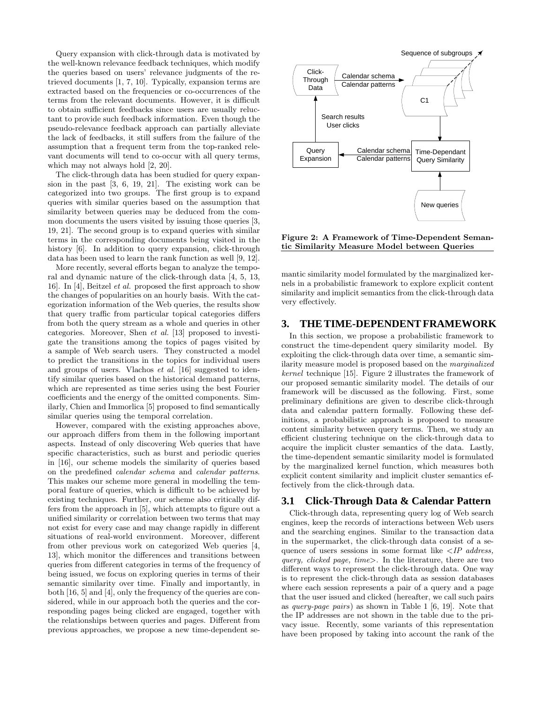Query expansion with click-through data is motivated by the well-known relevance feedback techniques, which modify the queries based on users' relevance judgments of the retrieved documents [1, 7, 10]. Typically, expansion terms are extracted based on the frequencies or co-occurrences of the terms from the relevant documents. However, it is difficult to obtain sufficient feedbacks since users are usually reluctant to provide such feedback information. Even though the pseudo-relevance feedback approach can partially alleviate the lack of feedbacks, it still suffers from the failure of the assumption that a frequent term from the top-ranked relevant documents will tend to co-occur with all query terms, which may not always hold [2, 20].

The click-through data has been studied for query expansion in the past [3, 6, 19, 21]. The existing work can be categorized into two groups. The first group is to expand queries with similar queries based on the assumption that similarity between queries may be deduced from the common documents the users visited by issuing those queries [3, 19, 21]. The second group is to expand queries with similar terms in the corresponding documents being visited in the history [6]. In addition to query expansion, click-through data has been used to learn the rank function as well [9, 12].

More recently, several efforts began to analyze the temporal and dynamic nature of the click-through data [4, 5, 13, 16]. In [4], Beitzel *et al.* proposed the first approach to show the changes of popularities on an hourly basis. With the categorization information of the Web queries, the results show that query traffic from particular topical categories differs from both the query stream as a whole and queries in other categories. Moreover, Shen *et al.* [13] proposed to investigate the transitions among the topics of pages visited by a sample of Web search users. They constructed a model to predict the transitions in the topics for individual users and groups of users. Vlachos *et al.* [16] suggested to identify similar queries based on the historical demand patterns, which are represented as time series using the best Fourier coefficients and the energy of the omitted components. Similarly, Chien and Immorlica [5] proposed to find semantically similar queries using the temporal correlation.

However, compared with the existing approaches above, our approach differs from them in the following important aspects. Instead of only discovering Web queries that have specific characteristics, such as burst and periodic queries in [16], our scheme models the similarity of queries based on the predefined *calendar schema* and *calendar patterns*. This makes our scheme more general in modelling the temporal feature of queries, which is difficult to be achieved by existing techniques. Further, our scheme also critically differs from the approach in [5], which attempts to figure out a unified similarity or correlation between two terms that may not exist for every case and may change rapidly in different situations of real-world environment. Moreover, different from other previous work on categorized Web queries [4, 13], which monitor the differences and transitions between queries from different categories in terms of the frequency of being issued, we focus on exploring queries in terms of their semantic similarity over time. Finally and importantly, in both [16, 5] and [4], only the frequency of the queries are considered, while in our approach both the queries and the corresponding pages being clicked are engaged, together with the relationships between queries and pages. Different from previous approaches, we propose a new time-dependent se-



**Figure 2: A Framework of Time-Dependent Semantic Similarity Measure Model between Queries**

mantic similarity model formulated by the marginalized kernels in a probabilistic framework to explore explicit content similarity and implicit semantics from the click-through data very effectively.

#### **3. THE TIME-DEPENDENT FRAMEWORK**

In this section, we propose a probabilistic framework to construct the time-dependent query similarity model. By exploiting the click-through data over time, a semantic similarity measure model is proposed based on the *marginalized kernel* technique [15]. Figure 2 illustrates the framework of our proposed semantic similarity model. The details of our framework will be discussed as the following. First, some preliminary definitions are given to describe click-through data and calendar pattern formally. Following these definitions, a probabilistic approach is proposed to measure content similarity between query terms. Then, we study an efficient clustering technique on the click-through data to acquire the implicit cluster semantics of the data. Lastly, the time-dependent semantic similarity model is formulated by the marginalized kernel function, which measures both explicit content similarity and implicit cluster semantics effectively from the click-through data.

#### **3.1 Click-Through Data & Calendar Pattern**

Click-through data, representing query log of Web search engines, keep the records of interactions between Web users and the searching engines. Similar to the transaction data in the supermarket, the click-through data consist of a sequence of users sessions in some format like <*IP address, query, clicked page, time*>. In the literature, there are two different ways to represent the click-through data. One way is to represent the click-through data as session databases where each session represents a pair of a query and a page that the user issued and clicked (hereafter, we call such pairs as *query-page pairs*) as shown in Table 1 [6, 19]. Note that the IP addresses are not shown in the table due to the privacy issue. Recently, some variants of this representation have been proposed by taking into account the rank of the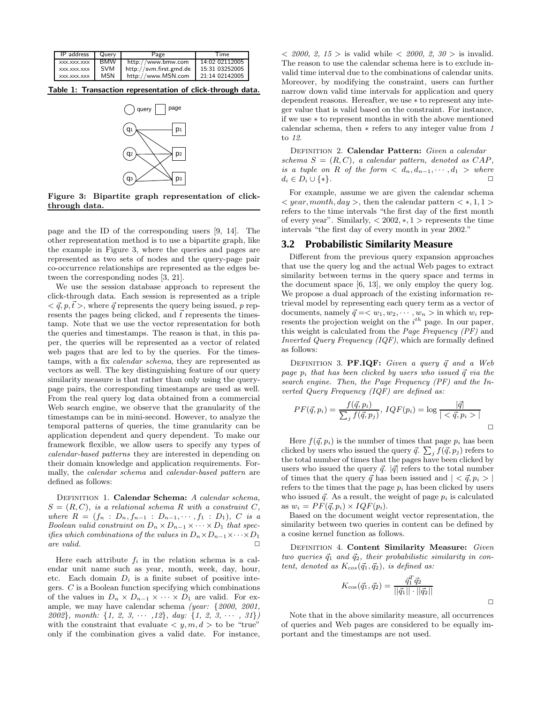| IP address  | Querv      | Page                    | Time           |
|-------------|------------|-------------------------|----------------|
| XXX.XXX.XXX | <b>BMW</b> | http://www.bmw.com      | 14:02 02112005 |
| XXX.XXX.XXX | <b>SVM</b> | http://svm.first.gmd.de | 15:31 03252005 |
| XXX.XXX.XXX | MSN        | http://www.MSN.com      | 21:14 02142005 |

**Table 1: Transaction representation of click-through data.**



**Figure 3: Bipartite graph representation of clickthrough data.**

page and the ID of the corresponding users [9, 14]. The other representation method is to use a bipartite graph, like the example in Figure 3, where the queries and pages are represented as two sets of nodes and the query-page pair co-occurrence relationships are represented as the edges between the corresponding nodes [3, 21].

We use the session database approach to represent the click-through data. Each session is represented as a triple  $\langle \vec{q}, p, \vec{t} \rangle$ , where  $\vec{q}$  represents the query being issued, p represents the pages being clicked, and  $\vec{t}$  represents the timestamp. Note that we use the vector representation for both the queries and timestamps. The reason is that, in this paper, the queries will be represented as a vector of related web pages that are led to by the queries. For the timestamps, with a fix *calendar schema*, they are represented as vectors as well. The key distinguishing feature of our query similarity measure is that rather than only using the querypage pairs, the corresponding timestamps are used as well. From the real query log data obtained from a commercial Web search engine, we observe that the granularity of the timestamps can be in mini-second. However, to analyze the temporal patterns of queries, the time granularity can be application dependent and query dependent. To make our framework flexible, we allow users to specify any types of *calendar-based patterns* they are interested in depending on their domain knowledge and application requirements. Formally, the *calendar schema* and *calendar-based pattern* are defined as follows:

Definition 1. **Calendar Schema:** *A calendar schema,*  $S = (R, C)$ *, is a relational schema R with a constraint C*, *where*  $R = (f_n : D_n, f_{n-1} : D_{n-1}, \cdots, f_1 : D_1)$ *, C is a Boolean valid constraint on*  $D_n \times D_{n-1} \times \cdots \times D_1$  *that specifies which combinations of the values in*  $D_n \times D_{n-1} \times \cdots \times D_1$ <br>*are valid. are valid.* ✷

Here each attribute  $f_i$  in the relation schema is a calendar unit name such as year, month, week, day, hour, etc. Each domain  $D_i$  is a finite subset of positive integers. C is a Boolean function specifying which combinations of the values in  $D_n \times D_{n-1} \times \cdots \times D_1$  are valid. For example, we may have calendar schema *(year:* {*2000, 2001, 2002*}*, month:* {*1, 2, 3,* ··· *,12*}*, day:* {*1, 2, 3,* ··· *, 31*}*)* with the constraint that evaluate  $\langle y, m, d \rangle$  to be "true" only if the combination gives a valid date. For instance,

 $<$  2000, 2, 15  $>$  is valid while  $<$  2000, 2, 30  $>$  is invalid. The reason to use the calendar schema here is to exclude invalid time interval due to the combinations of calendar units. Moreover, by modifying the constraint, users can further narrow down valid time intervals for application and query dependent reasons. Hereafter, we use ∗ to represent any integer value that is valid based on the constraint. For instance, if we use ∗ to represent months in with the above mentioned calendar schema, then ∗ refers to any integer value from *1* to *12*.

Definition 2. **Calendar Pattern:** *Given a calendar* schema  $S = (R, C)$ , a calendar pattern, denoted as  $CAP$ *is a tuple on* R *of the form* <  $d_n, d_{n-1}, \cdots, d_1 >$  *where*  $d_i \in D_i \cup \{ \mathbf{x} \}$  $d_i$  ∈  $D_i$  ∪  $\{*\}$ *.* 

For example, assume we are given the calendar schema  $\langle$  year, month, day  $>$ , then the calendar pattern  $\langle * , 1, 1 \rangle$ refers to the time intervals "the first day of the first month of every year". Similarly,  $\langle 2002, *, 1 \rangle$  represents the time intervals "the first day of every month in year 2002."

#### **3.2 Probabilistic Similarity Measure**

Different from the previous query expansion approaches that use the query log and the actual Web pages to extract similarity between terms in the query space and terms in the document space [6, 13], we only employ the query log. We propose a dual approach of the existing information retrieval model by representing each query term as a vector of documents, namely  $\vec{q} = \langle w_1, w_2, \dots, w_n \rangle$  in which  $w_i$  represents the projection weight on the i *th* page. In our paper, this weight is calculated from the *Page Frequency (PF)* and *Inverted Query Frequency (IQF)*, which are formally defined as follows:

DEFINITION 3. **PF.IQF:** *Given a query*  $\vec{q}$  *and a Web page*  $p_i$  *that has been clicked by users who issued*  $\vec{q}$  *via the search engine. Then, the Page Frequency (PF) and the Inverted Query Frequency (IQF) are defined as:*

$$
PF(\vec{q}, p_i) = \frac{f(\vec{q}, p_i)}{\sum_j f(\vec{q}, p_j)}, \, IQF(p_i) = \log \frac{|\vec{q}|}{| < \vec{q}, p_i > |}
$$

Here  $f(\vec{q}, p_i)$  is the number of times that page  $p_i$  has been clicked by users who issued the query  $\vec{q}$ .  $\sum_{i} f(\vec{q}, p_i)$  refers to the total number of times that the pages have been clicked by users who issued the query  $\vec{q}$ .  $|\vec{q}|$  refers to the total number of times that the query  $\vec{q}$  has been issued and  $| < \vec{q}, p_i > |$ refers to the times that the page  $p_i$  has been clicked by users who issued  $\vec{q}$ . As a result, the weight of page  $p_i$  is calculated as  $w_i = PF(\vec{q}, p_i) \times IQF(p_i)$ .

Based on the document weight vector representation, the similarity between two queries in content can be defined by a cosine kernel function as follows.

Definition 4. **Content Similarity Measure:** *Given*  $two$  queries  $\vec{q}_1$  and  $\vec{q}_2$ , their probabilistic similarity in con*tent, denoted as*  $K_{cos}(\vec{q}_1, \vec{q}_2)$ *, is defined as:* 

$$
K_{\cos}(\vec{q}_1, \vec{q}_2) = \frac{\vec{q}_1^T \vec{q}_2}{||\vec{q}_1|| \cdot ||\vec{q}_2||}
$$

Note that in the above similarity measure, all occurrences of queries and Web pages are considered to be equally important and the timestamps are not used.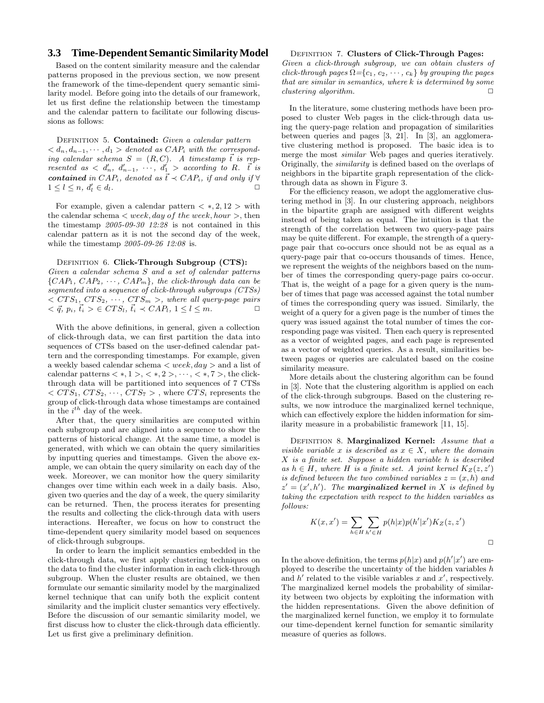## **3.3 Time-Dependent Semantic SimilarityModel**

Based on the content similarity measure and the calendar patterns proposed in the previous section, we now present the framework of the time-dependent query semantic similarity model. Before going into the details of our framework, let us first define the relationship between the timestamp and the calendar pattern to facilitate our following discussions as follows:

Definition 5. **Contained:** *Given a calendar pattern*  $d_1 < d_n, d_{n-1}, \cdots, d_1 >$  *denoted as CAP<sub>i</sub> with the corresponding calendar schema*  $S = (R, C)$ *. A timestamp*  $\vec{t}$  *is represented as* <  $d'_n$ ,  $d'_{n-1}$ ,  $\dots$ ,  $d'_1$  > *according to* R.  $\vec{t}$  *is contained in CAP<sub>i</sub>*, denoted as  $\vec{t} \prec \text{CAP}_i$ , if and only if  $\forall$  $1 \leq l \leq n, d'_{l} \in d_{l}$ .

For example, given a calendar pattern  $\langle *, 2, 12 \rangle$  with the calendar schema  $\lt$  week, day of the week, hour  $\gt$ , then the timestamp *2005-09-30 12:28* is not contained in this calendar pattern as it is not the second day of the week, while the timestamp *2005-09-26 12:08* is.

#### Definition 6. **Click-Through Subgroup (CTS):**

*Given a calendar schema* S *and a set of calendar patterns*  ${CAP_1, CAP_2, \cdots, CAP_m}$ , the click-through data can be *segmented into a sequence of click-through subgroups (CTSs)*  $\langle \langle CTS_1, CTS_2, \cdots, CTS_m \rangle$ , where all query-page pairs  $\langle \langle \vec{q}, p_i, \vec{t}_i \rangle \rangle \in CTS_l, \vec{t}_i \langle \langle \langle \langle \vec{r} \rangle \rangle \langle \vec{q} \rangle \langle \langle \vec{r} \rangle \langle \vec{r} \rangle \langle \vec{r} \rangle$ 

With the above definitions, in general, given a collection of click-through data, we can first partition the data into sequences of CTSs based on the user-defined calendar pattern and the corresponding timestamps. For example, given a weekly based calendar schema  $\langle$  week,  $day$   $>$  and a list of calendar patterns  $\langle *, 1 \rangle, \langle *, 2 \rangle, \cdots, \langle *, 7 \rangle$ , the clickthrough data will be partitioned into sequences of 7 CTSs  $\langle \text{CTS}_1, \text{CTS}_2, \cdots, \text{CTS}_7 \rangle$ , where  $\text{CTS}_i$  represents the group of click-through data whose timestamps are contained in the  $i^{th}$  day of the week.

After that, the query similarities are computed within each subgroup and are aligned into a sequence to show the patterns of historical change. At the same time, a model is generated, with which we can obtain the query similarities by inputting queries and timestamps. Given the above example, we can obtain the query similarity on each day of the week. Moreover, we can monitor how the query similarity changes over time within each week in a daily basis. Also, given two queries and the day of a week, the query similarity can be returned. Then, the process iterates for presenting the results and collecting the click-through data with users interactions. Hereafter, we focus on how to construct the time-dependent query similarity model based on sequences of click-through subgroups.

In order to learn the implicit semantics embedded in the click-through data, we first apply clustering techniques on the data to find the cluster information in each click-through subgroup. When the cluster results are obtained, we then formulate our semantic similarity model by the marginalized kernel technique that can unify both the explicit content similarity and the implicit cluster semantics very effectively. Before the discussion of our semantic similarity model, we first discuss how to cluster the click-through data efficiently. Let us first give a preliminary definition.

Definition 7. **Clusters of Click-Through Pages:** *Given a click-through subgroup, we can obtain clusters of click-through pages*  $\Omega = \{c_1, c_2, \cdots, c_k\}$  *by grouping the pages that are similar in semantics, where* k *is determined by some clustering algorithm.* 

In the literature, some clustering methods have been proposed to cluster Web pages in the click-through data using the query-page relation and propagation of similarities between queries and pages [3, 21]. In [3], an agglomerative clustering method is proposed. The basic idea is to merge the most *similar* Web pages and queries iteratively. Originally, the *similarity* is defined based on the overlaps of neighbors in the bipartite graph representation of the clickthrough data as shown in Figure 3.

For the efficiency reason, we adopt the agglomerative clustering method in [3]. In our clustering approach, neighbors in the bipartite graph are assigned with different weights instead of being taken as equal. The intuition is that the strength of the correlation between two query-page pairs may be quite different. For example, the strength of a querypage pair that co-occurs once should not be as equal as a query-page pair that co-occurs thousands of times. Hence, we represent the weights of the neighbors based on the number of times the corresponding query-page pairs co-occur. That is, the weight of a page for a given query is the number of times that page was accessed against the total number of times the corresponding query was issued. Similarly, the weight of a query for a given page is the number of times the query was issued against the total number of times the corresponding page was visited. Then each query is represented as a vector of weighted pages, and each page is represented as a vector of weighted queries. As a result, similarities between pages or queries are calculated based on the cosine similarity measure.

More details about the clustering algorithm can be found in [3]. Note that the clustering algorithm is applied on each of the click-through subgroups. Based on the clustering results, we now introduce the marginalized kernel technique, which can effectively explore the hidden information for similarity measure in a probabilistic framework [11, 15].

Definition 8. **Marginalized Kernel:** *Assume that a visible variable* x *is described as*  $x \in X$ *, where the domain* X *is a finite set. Suppose a hidden variable* h *is described*  $as\ h\in H$ , where H is a finite set. A joint kernel  $K_Z(z, z')$ *is defined between the two combined variables*  $z = (x, h)$  *and*  $z' = (x', h')$ . The **marginalized kernel** in X is defined by *taking the expectation with respect to the hidden variables as follows:*

$$
K(x, x') = \sum_{h \in H} \sum_{h' \in H} p(h|x)p(h'|x')K_Z(z, z')
$$

In the above definition, the terms  $p(h|x)$  and  $p(h'|x')$  are employed to describe the uncertainty of the hidden variables  $h$ and  $h'$  related to the visible variables x and  $x'$ , respectively. The marginalized kernel models the probability of similarity between two objects by exploiting the information with the hidden representations. Given the above definition of the marginalized kernel function, we employ it to formulate our time-dependent kernel function for semantic similarity measure of queries as follows.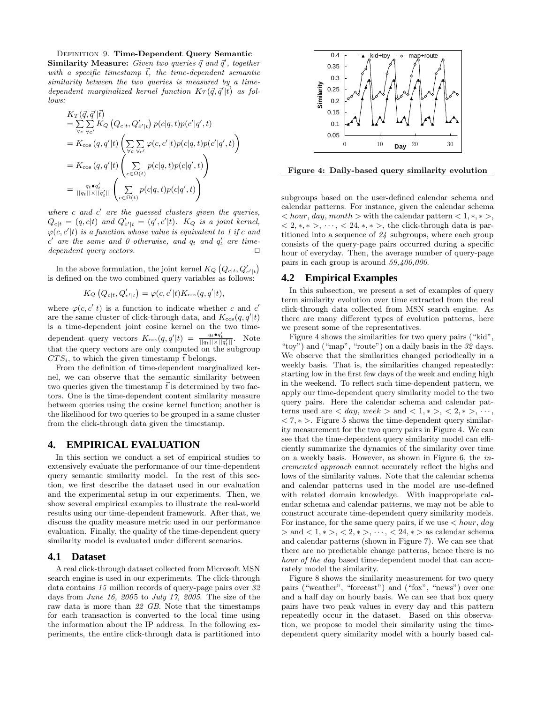Definition 9. **Time-Dependent Query Semantic** Similarity Measure: *Given two queries*  $\vec{q}$  and  $\vec{q}'$ , together with a specific timestamp  $\vec{t}$ , the time-dependent semantic *similarity between the two queries is measured by a timedependent marginalized kernel function*  $K_T(\vec{q}, \vec{q} | \vec{t})$  *as follows:*

$$
K_{T}(\vec{q},\vec{q}'|\vec{t})
$$
\n
$$
= \sum_{\forall c} \sum_{\forall c'} K_{Q} (Q_{c|t}, Q'_{c'|t}) p(c|q, t) p(c'|q', t)
$$
\n
$$
= K_{\cos}(q, q'|t) \left( \sum_{\forall c} \sum_{\forall c'} \varphi(c, c'|t) p(c|q, t) p(c'|q', t) \right)
$$
\n
$$
= K_{\cos}(q, q'|t) \left( \sum_{c \in \Omega(t)} p(c|q, t) p(c|q', t) \right)
$$
\n
$$
= \frac{q_{t} \bullet q'_{t}}{||q_{t}|| \times ||q'_{t}||} \left( \sum_{c \in \Omega(t)} p(c|q, t) p(c|q', t) \right)
$$
\n
$$
= \frac{q_{t} \bullet q'_{t}}{||q_{t}|| \times ||q'_{t}||} \left( \sum_{c \in \Omega(t)} p(c|q, t) p(c|q', t) \right)
$$
\n
$$
= \sum_{c \in \Omega(t)} p(c|q, t) p(c|c|, t) \left( \sum_{c \in \Omega(t)} p(c|c|, t) p(c|c|, t) \right)
$$

*where c* and *c'* are the guessed clusters given the queries,  $Q_{c|t} = (q, c|t)$  *and*  $Q'_{c'|t} = (q', c'|t)$ *.* K<sub>Q</sub> *is a joint kernel,*  $\varphi(c, c'|t)$  *is a function whose value is equivalent to 1 if*  $c$  *and*  $c'$  are the same and 0 otherwise, and  $q_t$  and  $q'_t$  are time*dependent query vectors.* 

In the above formulation, the joint kernel  $K_Q$   $(Q_{c|t}, Q'_{c'|t})$ is defined on the two combined query variables as follows:

$$
K_Q\left(Q_{c|t}, Q'_{c'|t}\right) = \varphi(c, c'|t) K_{\cos}(q, q'|t),
$$

where  $\varphi(c, c'|t)$  is a function to indicate whether c and c' are the same cluster of click-through data, and  $K_{\cos}(q, q'|t)$ is a time-dependent joint cosine kernel on the two timedependent query vectors  $K_{\cos}(q, q'|t) = \frac{q_t \cdot q'_t}{||q_t|| \times ||q'_t||}$ . Note that the query vectors are only computed on the subgroup  $CTS_i$ , to which the given timestamp  $\vec{t}$  belongs.

From the definition of time-dependent marginalized kernel, we can observe that the semantic similarity between two queries given the timestamp  $\vec{t}$  is determined by two factors. One is the time-dependent content similarity measure between queries using the cosine kernel function; another is the likelihood for two queries to be grouped in a same cluster from the click-through data given the timestamp.

#### **4. EMPIRICAL EVALUATION**

In this section we conduct a set of empirical studies to extensively evaluate the performance of our time-dependent query semantic similarity model. In the rest of this section, we first describe the dataset used in our evaluation and the experimental setup in our experiments. Then, we show several empirical examples to illustrate the real-world results using our time-dependent framework. After that, we discuss the quality measure metric used in our performance evaluation. Finally, the quality of the time-dependent query similarity model is evaluated under different scenarios.

## **4.1 Dataset**

A real click-through dataset collected from Microsoft MSN search engine is used in our experiments. The click-through data contains *15* million records of query-page pairs over *32* days from *June 16, 200*5 to *July 17, 2005*. The size of the raw data is more than *22 GB*. Note that the timestamps for each transaction is converted to the local time using the information about the IP address. In the following experiments, the entire click-through data is partitioned into



**Figure 4: Daily-based query similarity evolution**

subgroups based on the user-defined calendar schema and calendar patterns. For instance, given the calendar schema  $\langle$  hour, day, month  $\rangle$  with the calendar pattern  $\langle 1, *, * \rangle$ ,  $< 2, *, *>, \dots, < 24, *, *>,$  the click-through data is partitioned into a sequence of *24* subgroups, where each group consists of the query-page pairs occurred during a specific hour of everyday. Then, the average number of query-page pairs in each group is around *59,400,000*.

#### **4.2 Empirical Examples**

In this subsection, we present a set of examples of query term similarity evolution over time extracted from the real click-through data collected from MSN search engine. As there are many different types of evolution patterns, here we present some of the representatives.

Figure 4 shows the similarities for two query pairs ("kid", "toy") and ("map", "route") on a daily basis in the *32* days. We observe that the similarities changed periodically in a weekly basis. That is, the similarities changed repeatedly: starting low in the first few days of the week and ending high in the weekend. To reflect such time-dependent pattern, we apply our time-dependent query similarity model to the two query pairs. Here the calendar schema and calendar patterns used are  $\langle day, week > and < 1, *>, < 2, *>, \cdots,$  $< 7$ ,  $* >$ . Figure 5 shows the time-dependent query similarity measurement for the two query pairs in Figure 4. We can see that the time-dependent query similarity model can efficiently summarize the dynamics of the similarity over time on a weekly basis. However, as shown in Figure 6, the *incremented approach* cannot accurately reflect the highs and lows of the similarity values. Note that the calendar schema and calendar patterns used in the model are use-defined with related domain knowledge. With inappropriate calendar schema and calendar patterns, we may not be able to construct accurate time-dependent query similarity models. For instance, for the same query pairs, if we use  $\langle$  hour, day  $>$  and  $< 1, * >, < 2, * >, \cdots, < 24, * >$  as calendar schema and calendar patterns (shown in Figure 7). We can see that there are no predictable change patterns, hence there is no *hour of the day* based time-dependent model that can accurately model the similarity.

Figure 8 shows the similarity measurement for two query pairs ("weather", "forecast") and ("fox", "news") over one and a half day on hourly basis. We can see that box query pairs have two peak values in every day and this pattern repeatedly occur in the dataset. Based on this observation, we propose to model their similarity using the timedependent query similarity model with a hourly based cal-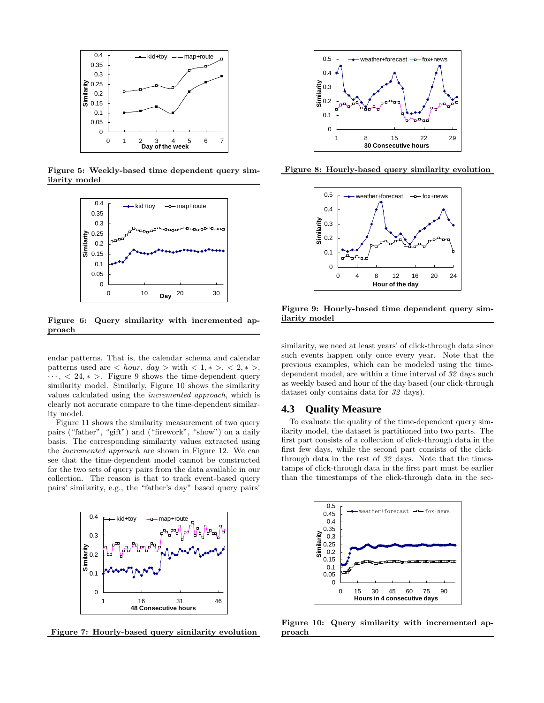

**Figure 5: Weekly-based time dependent query similarity model**



**Figure 6: Query similarity with incremented approach**

endar patterns. That is, the calendar schema and calendar patterns used are  $\langle$  hour, day  $>$  with  $\langle 1, * \rangle, \langle 2, * \rangle,$  $\cdots$ , < 24,  $*$  >. Figure 9 shows the time-dependent query similarity model. Similarly, Figure 10 shows the similarity values calculated using the *incremented approach*, which is clearly not accurate compare to the time-dependent similarity model.

Figure 11 shows the similarity measurement of two query pairs ("father", "gift") and ("firework", "show") on a daily basis. The corresponding similarity values extracted using the *incremented approach* are shown in Figure 12. We can see that the time-dependent model cannot be constructed for the two sets of query pairs from the data available in our collection. The reason is that to track event-based query pairs' similarity, e.g., the "father's day" based query pairs'



**Figure 7: Hourly-based query similarity evolution**



**Figure 8: Hourly-based query similarity evolution**



**Figure 9: Hourly-based time dependent query similarity model**

similarity, we need at least years' of click-through data since such events happen only once every year. Note that the previous examples, which can be modeled using the timedependent model, are within a time interval of *32* days such as weekly based and hour of the day based (our click-through dataset only contains data for *32* days).

## **4.3 Quality Measure**

To evaluate the quality of the time-dependent query similarity model, the dataset is partitioned into two parts. The first part consists of a collection of click-through data in the first few days, while the second part consists of the clickthrough data in the rest of *32* days. Note that the timestamps of click-through data in the first part must be earlier than the timestamps of the click-through data in the sec-



**Figure 10: Query similarity with incremented approach**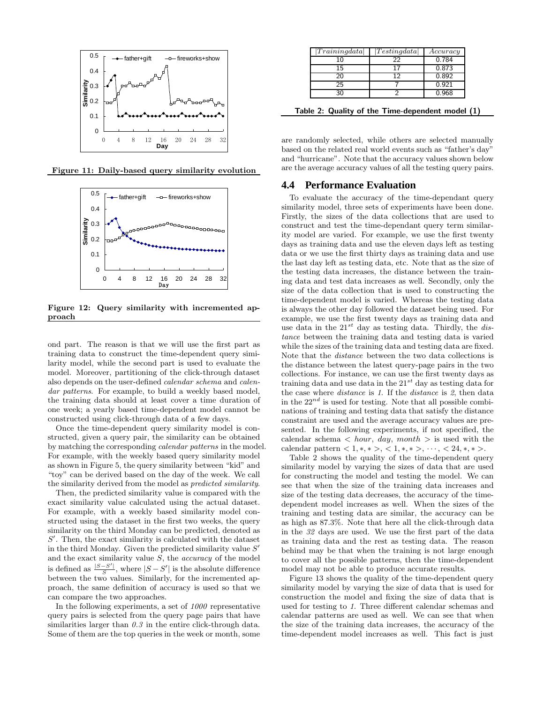

**Figure 11: Daily-based query similarity evolution**



**Figure 12: Query similarity with incremented approach**

ond part. The reason is that we will use the first part as training data to construct the time-dependent query similarity model, while the second part is used to evaluate the model. Moreover, partitioning of the click-through dataset also depends on the user-defined *calendar schema* and *calendar patterns*. For example, to build a weekly based model, the training data should at least cover a time duration of one week; a yearly based time-dependent model cannot be constructed using click-through data of a few days.

Once the time-dependent query similarity model is constructed, given a query pair, the similarity can be obtained by matching the corresponding *calendar patterns* in the model. For example, with the weekly based query similarity model as shown in Figure 5, the query similarity between "kid" and "toy" can be derived based on the day of the week. We call the similarity derived from the model as *predicted similarity*.

Then, the predicted similarity value is compared with the exact similarity value calculated using the actual dataset. For example, with a weekly based similarity model constructed using the dataset in the first two weeks, the query similarity on the third Monday can be predicted, denoted as S . Then, the exact similarity is calculated with the dataset in the third Monday. Given the predicted similarity value  $S'$ and the exact similarity value S, the *accuracy* of the model is defined as  $\frac{|S-S'|}{S}$ , where  $|S-S'|$  is the absolute difference between the two values. Similarly, for the incremented approach, the same definition of accuracy is used so that we can compare the two approaches.

In the following experiments, a set of *1000* representative query pairs is selected from the query page pairs that have similarities larger than  $0.3$  in the entire click-through data. Some of them are the top queries in the week or month, some

| Triining data | Test in q data | Accuracy |
|---------------|----------------|----------|
| 10            | つつ             | 0.784    |
| 15            |                | 0.873    |
| 20            |                | 0.892    |
| 25            |                | 0.921    |
|               |                | 0.968    |

**Table 2: Quality of the Time-dependent model (1)**

are randomly selected, while others are selected manually based on the related real world events such as "father's day" and "hurricane". Note that the accuracy values shown below are the average accuracy values of all the testing query pairs.

## **4.4 Performance Evaluation**

To evaluate the accuracy of the time-dependant query similarity model, three sets of experiments have been done. Firstly, the sizes of the data collections that are used to construct and test the time-dependant query term similarity model are varied. For example, we use the first twenty days as training data and use the eleven days left as testing data or we use the first thirty days as training data and use the last day left as testing data, etc. Note that as the size of the testing data increases, the distance between the training data and test data increases as well. Secondly, only the size of the data collection that is used to constructing the time-dependent model is varied. Whereas the testing data is always the other day followed the dataset being used. For example, we use the first twenty days as training data and use data in the 21*st* day as testing data. Thirdly, the *distance* between the training data and testing data is varied while the sizes of the training data and testing data are fixed. Note that the *distance* between the two data collections is the distance between the latest query-page pairs in the two collections. For instance, we can use the first twenty days as training data and use data in the 21*st* day as testing data for the case where *distance* is *1*. If the *distance* is *2*, then data in the  $22^{nd}$  is used for testing. Note that all possible combinations of training and testing data that satisfy the distance constraint are used and the average accuracy values are presented. In the following experiments, if not specified, the calendar schema  $\langle$  hour, day, month  $>$  is used with the calendar pattern  $< 1, *, *>, < 1, *, *>, \cdots, < 24, *, *>.$ 

Table 2 shows the quality of the time-dependent query similarity model by varying the sizes of data that are used for constructing the model and testing the model. We can see that when the size of the training data increases and size of the testing data decreases, the accuracy of the timedependent model increases as well. When the sizes of the training and testing data are similar, the accuracy can be as high as 87.3%. Note that here all the click-through data in the *32* days are used. We use the first part of the data as training data and the rest as testing data. The reason behind may be that when the training is not large enough to cover all the possible patterns, then the time-dependent model may not be able to produce accurate results.

Figure 13 shows the quality of the time-dependent query similarity model by varying the size of data that is used for construction the model and fixing the size of data that is used for testing to *1*. Three different calendar schemas and calendar patterns are used as well. We can see that when the size of the training data increases, the accuracy of the time-dependent model increases as well. This fact is just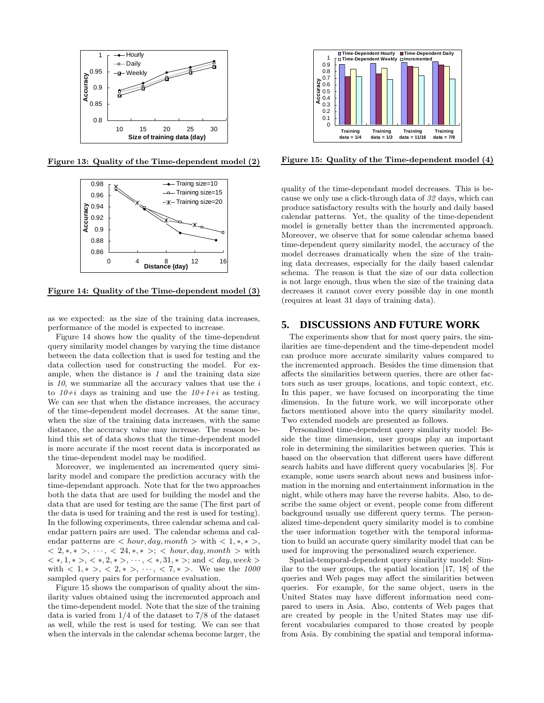

**Figure 13: Quality of the Time-dependent model (2)**



**Figure 14: Quality of the Time-dependent model (3)**

as we expected: as the size of the training data increases, performance of the model is expected to increase.

Figure 14 shows how the quality of the time-dependent query similarity model changes by varying the time distance between the data collection that is used for testing and the data collection used for constructing the model. For example, when the distance is *1* and the training data size is *10*, we summarize all the accuracy values that use the *i* to  $10+i$  days as training and use the  $10+1+i$  as testing. We can see that when the distance increases, the accuracy of the time-dependent model decreases. At the same time, when the size of the training data increases, with the same distance, the accuracy value may increase. The reason behind this set of data shows that the time-dependent model is more accurate if the most recent data is incorporated as the time-dependent model may be modified.

Moreover, we implemented an incremented query similarity model and compare the prediction accuracy with the time-dependant approach. Note that for the two approaches both the data that are used for building the model and the data that are used for testing are the same (The first part of the data is used for training and the rest is used for testing). In the following experiments, three calendar schema and calendar pattern pairs are used. The calendar schema and calendar patterns are  $\langle$  hour, day, month  $\rangle$  with  $\langle 1, *, * \rangle$ ,  $< 2, *, *>, \dots, < 24, *, *>, *hour, day, month* > with$  $<*,1,*>,<*,2,*>,\cdots,<*,31,*>;\,\text{and}$ with  $\langle 1, * \rangle, \langle 2, * \rangle, \cdots, \langle 7, * \rangle$ . We use the  $1000$ sampled query pairs for performance evaluation.

Figure 15 shows the comparison of quality about the similarity values obtained using the incremented approach and the time-dependent model. Note that the size of the training data is varied from 1/4 of the dataset to 7/8 of the dataset as well, while the rest is used for testing. We can see that when the intervals in the calendar schema become larger, the



**Figure 15: Quality of the Time-dependent model (4)**

quality of the time-dependant model decreases. This is because we only use a click-through data of *32* days, which can produce satisfactory results with the hourly and daily based calendar patterns. Yet, the quality of the time-dependent model is generally better than the incremented approach. Moreover, we observe that for some calendar schema based time-dependent query similarity model, the accuracy of the model decreases dramatically when the size of the training data decreases, especially for the daily based calendar schema. The reason is that the size of our data collection is not large enough, thus when the size of the training data decreases it cannot cover every possible day in one month (requires at least 31 days of training data).

## **5. DISCUSSIONS AND FUTURE WORK**

The experiments show that for most query pairs, the similarities are time-dependent and the time-dependent model can produce more accurate similarity values compared to the incremented approach. Besides the time dimension that affects the similarities between queries, there are other factors such as user groups, locations, and topic context, etc. In this paper, we have focused on incorporating the time dimension. In the future work, we will incorporate other factors mentioned above into the query similarity model. Two extended models are presented as follows.

Personalized time-dependent query similarity model: Beside the time dimension, user groups play an important role in determining the similarities between queries. This is based on the observation that different users have different search habits and have different query vocabularies [8]. For example, some users search about news and business information in the morning and entertainment information in the night, while others may have the reverse habits. Also, to describe the same object or event, people come from different background usually use different query terms. The personalized time-dependent query similarity model is to combine the user information together with the temporal information to build an accurate query similarity model that can be used for improving the personalized search experience.

Spatial-temporal-dependent query similarity model: Similar to the user groups, the spatial location [17, 18] of the queries and Web pages may affect the similarities between queries. For example, for the same object, users in the United States may have different information need compared to users in Asia. Also, contents of Web pages that are created by people in the United States may use different vocabularies compared to those created by people from Asia. By combining the spatial and temporal informa